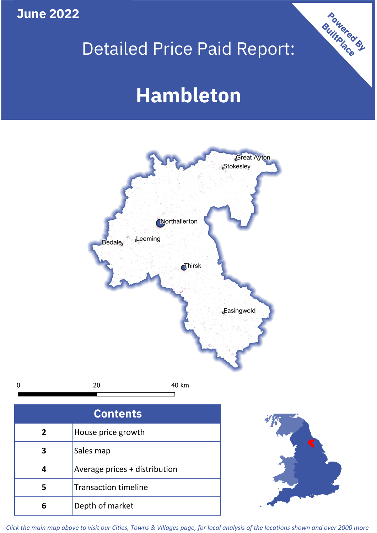**June 2022**

## Detailed Price Paid Report:

Powered By

# **Hambleton**



*Click the main map above to visit our Cities, Towns & Villages page, for local analysis of the locations shown and over 2000 more*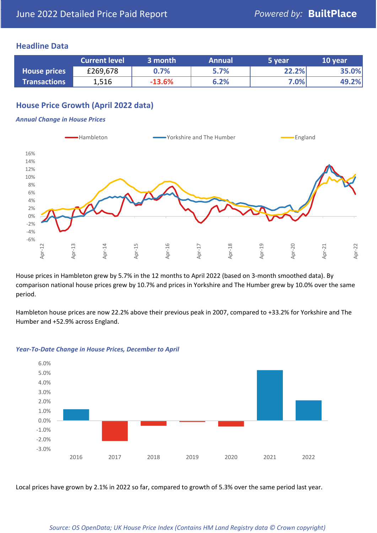## **Headline Data**

|                     | <b>Current level</b> | 3 month  | <b>Annual</b> | '5 vear | 10 year |
|---------------------|----------------------|----------|---------------|---------|---------|
| <b>House prices</b> | £269,678             | 0.7%     | 5.7%          | 22.2%   | 35.0%   |
| <b>Transactions</b> | 1,516                | $-13.6%$ | 6.2%          | 7.0%    | 49.2%   |

## **House Price Growth (April 2022 data)**

#### *Annual Change in House Prices*



House prices in Hambleton grew by 5.7% in the 12 months to April 2022 (based on 3-month smoothed data). By comparison national house prices grew by 10.7% and prices in Yorkshire and The Humber grew by 10.0% over the same period.

Hambleton house prices are now 22.2% above their previous peak in 2007, compared to +33.2% for Yorkshire and The Humber and +52.9% across England.



#### *Year-To-Date Change in House Prices, December to April*

Local prices have grown by 2.1% in 2022 so far, compared to growth of 5.3% over the same period last year.

#### *Source: OS OpenData; UK House Price Index (Contains HM Land Registry data © Crown copyright)*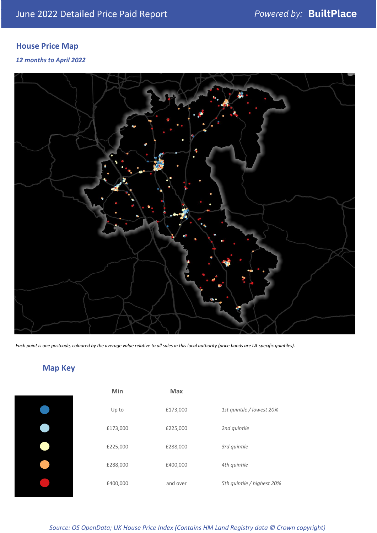## **House Price Map**

*12 months to April 2022*



*Each point is one postcode, coloured by the average value relative to all sales in this local authority (price bands are LA-specific quintiles).*

## **Map Key**

| Min      | <b>Max</b> |                            |
|----------|------------|----------------------------|
| Up to    | £173,000   | 1st quintile / lowest 20%  |
| £173,000 | £225,000   | 2nd quintile               |
| £225,000 | £288,000   | 3rd quintile               |
| £288,000 | £400,000   | 4th quintile               |
| £400,000 | and over   | 5th quintile / highest 20% |

*Source: OS OpenData; UK House Price Index (Contains HM Land Registry data © Crown copyright)*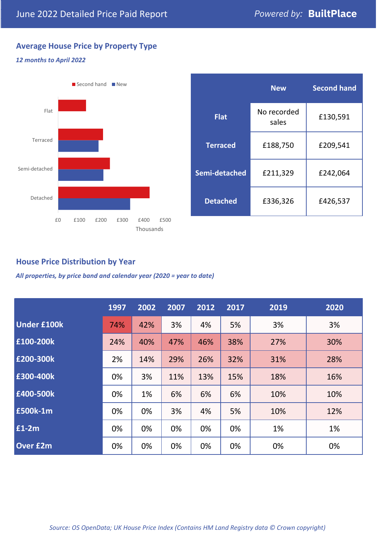## **Average House Price by Property Type**

### *12 months to April 2022*



|                 | <b>New</b>           | <b>Second hand</b> |  |
|-----------------|----------------------|--------------------|--|
| <b>Flat</b>     | No recorded<br>sales | £130,591           |  |
| <b>Terraced</b> | £188,750             | £209,541           |  |
| Semi-detached   | £242,064<br>£211,329 |                    |  |
| <b>Detached</b> | £336,326             | £426,537           |  |

## **House Price Distribution by Year**

*All properties, by price band and calendar year (2020 = year to date)*

|                    | 1997 | 2002 | 2007 | 2012 | 2017 | 2019 | 2020 |
|--------------------|------|------|------|------|------|------|------|
| <b>Under £100k</b> | 74%  | 42%  | 3%   | 4%   | 5%   | 3%   | 3%   |
| £100-200k          | 24%  | 40%  | 47%  | 46%  | 38%  | 27%  | 30%  |
| E200-300k          | 2%   | 14%  | 29%  | 26%  | 32%  | 31%  | 28%  |
| £300-400k          | 0%   | 3%   | 11%  | 13%  | 15%  | 18%  | 16%  |
| £400-500k          | 0%   | 1%   | 6%   | 6%   | 6%   | 10%  | 10%  |
| £500k-1m           | 0%   | 0%   | 3%   | 4%   | 5%   | 10%  | 12%  |
| £1-2m              | 0%   | 0%   | 0%   | 0%   | 0%   | 1%   | 1%   |
| <b>Over £2m</b>    | 0%   | 0%   | 0%   | 0%   | 0%   | 0%   | 0%   |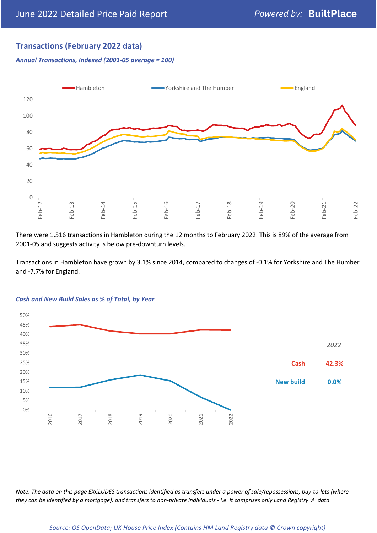## **Transactions (February 2022 data)**

*Annual Transactions, Indexed (2001-05 average = 100)*



There were 1,516 transactions in Hambleton during the 12 months to February 2022. This is 89% of the average from 2001-05 and suggests activity is below pre-downturn levels.

Transactions in Hambleton have grown by 3.1% since 2014, compared to changes of -0.1% for Yorkshire and The Humber and -7.7% for England.



#### *Cash and New Build Sales as % of Total, by Year*

*Note: The data on this page EXCLUDES transactions identified as transfers under a power of sale/repossessions, buy-to-lets (where they can be identified by a mortgage), and transfers to non-private individuals - i.e. it comprises only Land Registry 'A' data.*